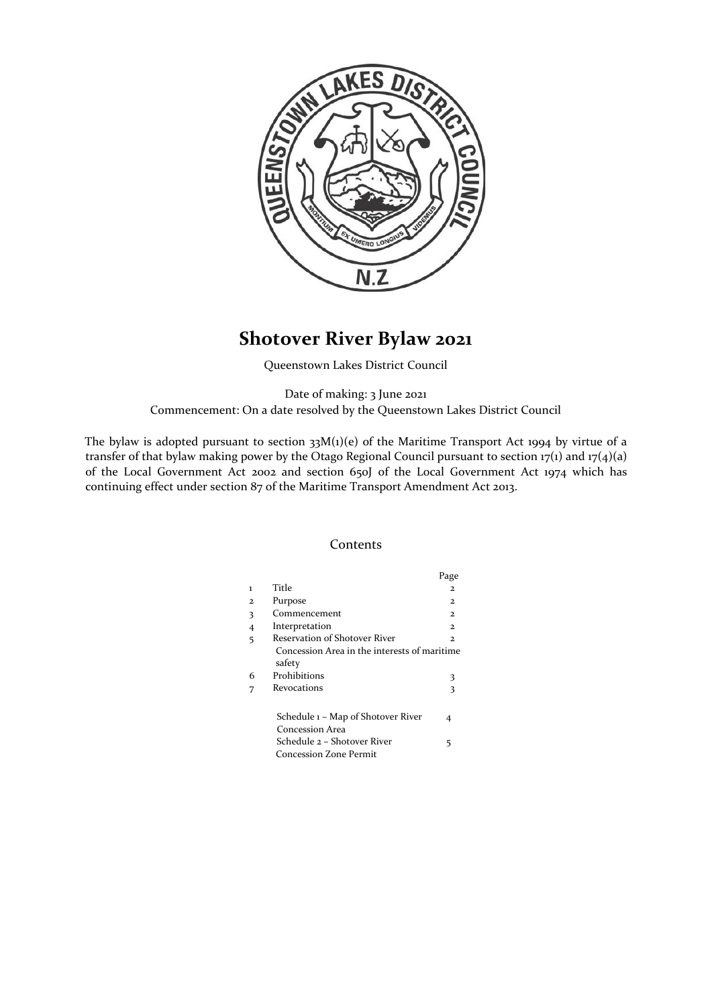

# **Shotover River Bylaw 2021**

Queenstown Lakes District Council

Date of making: 3 June 2021 Commencement: On a date resolved by the Queenstown Lakes District Council

The bylaw is adopted pursuant to section  $33M(1)(e)$  of the Maritime Transport Act 1994 by virtue of a transfer of that bylaw making power by the Otago Regional Council pursuant to section  $17(1)$  and  $17(4)(a)$ of the Local Government Act 2002 and section 650J of the Local Government Act 1974 which has continuing effect under section 87 of the Maritime Transport Amendment Act 2013.

# Contents

|                |                                                        | Page          |
|----------------|--------------------------------------------------------|---------------|
| $\mathbf{1}$   | Title                                                  | $\mathbf{2}$  |
| $\mathbf{2}$   | Purpose                                                | 2.            |
| 3              | Commencement                                           | $\mathbf{z}$  |
| $\overline{4}$ | Interpretation                                         | $\mathcal{D}$ |
| 5              | Reservation of Shotover River                          | $\mathbf{2}$  |
|                | Concession Area in the interests of maritime<br>safety |               |
| 6              | Prohibitions                                           | 3             |
|                | Revocations                                            | 3             |
|                | Schedule 1 – Map of Shotover River<br>Concession Area  | 4             |
|                | Schedule 2 – Shotover River<br>Concession Zone Permit  | 5             |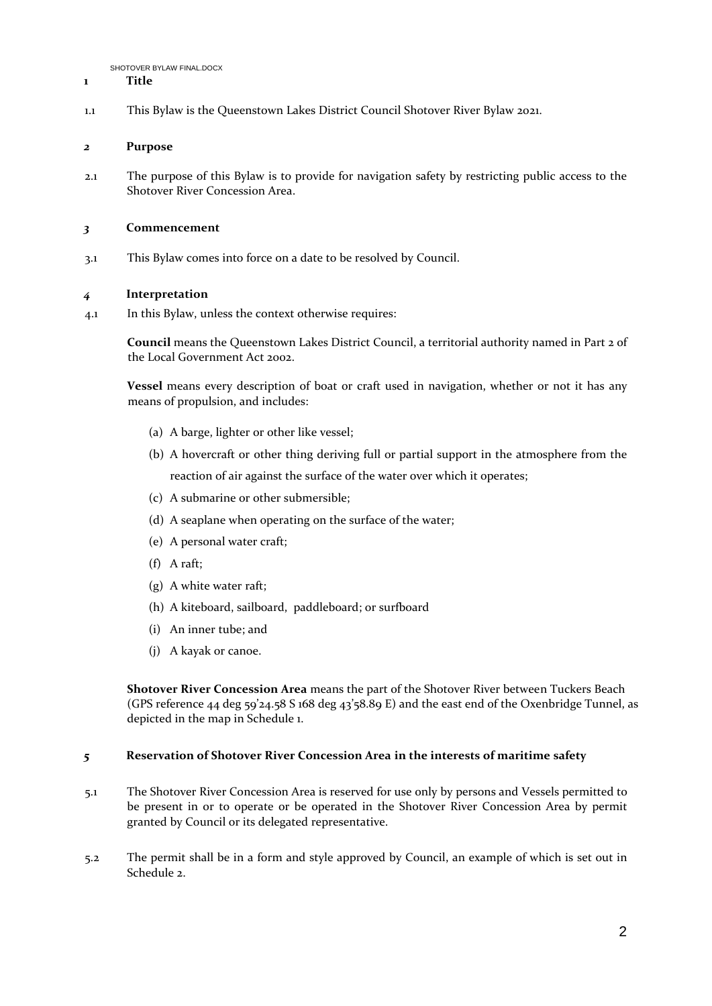#### **1 Title**

1.1 This Bylaw is the Queenstown Lakes District Council Shotover River Bylaw 2021.

## *2* **Purpose**

2.1 The purpose of this Bylaw is to provide for navigation safety by restricting public access to the Shotover River Concession Area.

#### *3* **Commencement**

3.1 This Bylaw comes into force on a date to be resolved by Council.

# *4* **Interpretation**

4.1 In this Bylaw, unless the context otherwise requires:

**Council** means the Queenstown Lakes District Council, a territorial authority named in Part 2 of the Local Government Act 2002.

**Vessel** means every description of boat or craft used in navigation, whether or not it has any means of propulsion, and includes:

- (a) A barge, lighter or other like vessel;
- (b) A hovercraft or other thing deriving full or partial support in the atmosphere from the reaction of air against the surface of the water over which it operates;
- (c) A submarine or other submersible;
- (d) A seaplane when operating on the surface of the water;
- (e) A personal water craft;
- (f) A raft;
- (g) A white water raft;
- (h) A kiteboard, sailboard, paddleboard; or surfboard
- (i) An inner tube; and
- (j) A kayak or canoe.

**Shotover River Concession Area** means the part of the Shotover River between Tuckers Beach (GPS reference 44 deg 59'24.58 S 168 deg 43'58.89 E) and the east end of the Oxenbridge Tunnel, as depicted in the map in Schedule 1.

#### *5* **Reservation of Shotover River Concession Area in the interests of maritime safety**

- 5.1 The Shotover River Concession Area is reserved for use only by persons and Vessels permitted to be present in or to operate or be operated in the Shotover River Concession Area by permit granted by Council or its delegated representative.
- 5.2 The permit shall be in a form and style approved by Council, an example of which is set out in Schedule 2.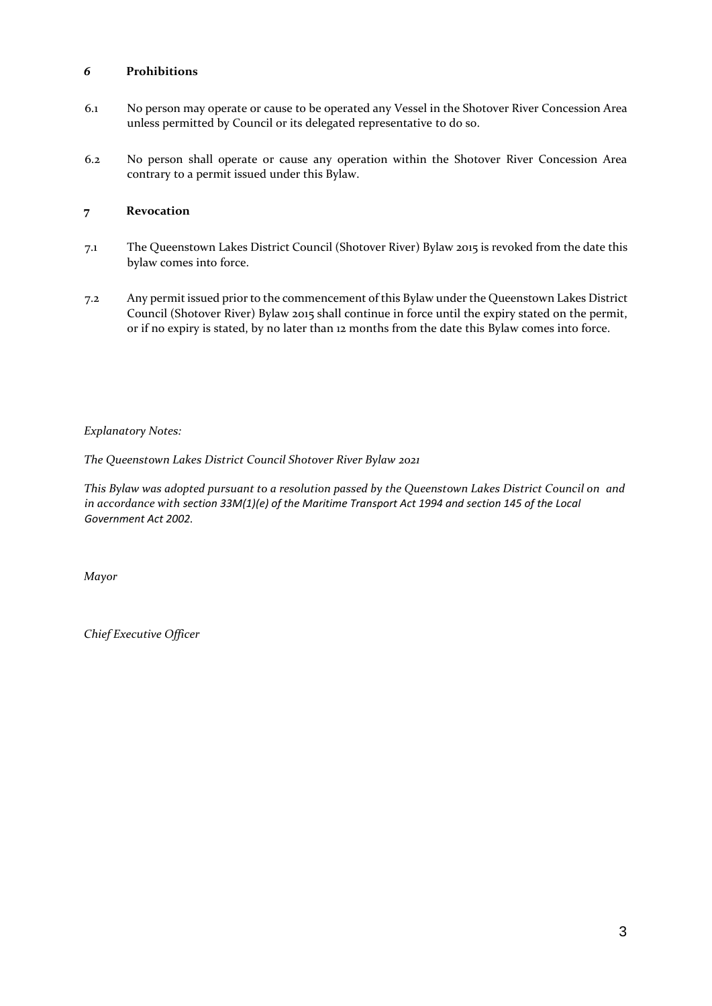# *6* **Prohibitions**

- 6.1 No person may operate or cause to be operated any Vessel in the Shotover River Concession Area unless permitted by Council or its delegated representative to do so.
- 6.2 No person shall operate or cause any operation within the Shotover River Concession Area contrary to a permit issued under this Bylaw.

## **7 Revocation**

- 7.1 The Queenstown Lakes District Council (Shotover River) Bylaw 2015 is revoked from the date this bylaw comes into force.
- 7.2 Any permit issued prior to the commencement of this Bylaw under the Queenstown Lakes District Council (Shotover River) Bylaw 2015 shall continue in force until the expiry stated on the permit, or if no expiry is stated, by no later than 12 months from the date this Bylaw comes into force.

# *Explanatory Notes:*

*The Queenstown Lakes District Council Shotover River Bylaw 2021* 

*This Bylaw was adopted pursuant to a resolution passed by the Queenstown Lakes District Council on and in accordance with section 33M(1)(e) of the Maritime Transport Act 1994 and section 145 of the Local Government Act 2002.* 

*Mayor* 

*Chief Executive Officer*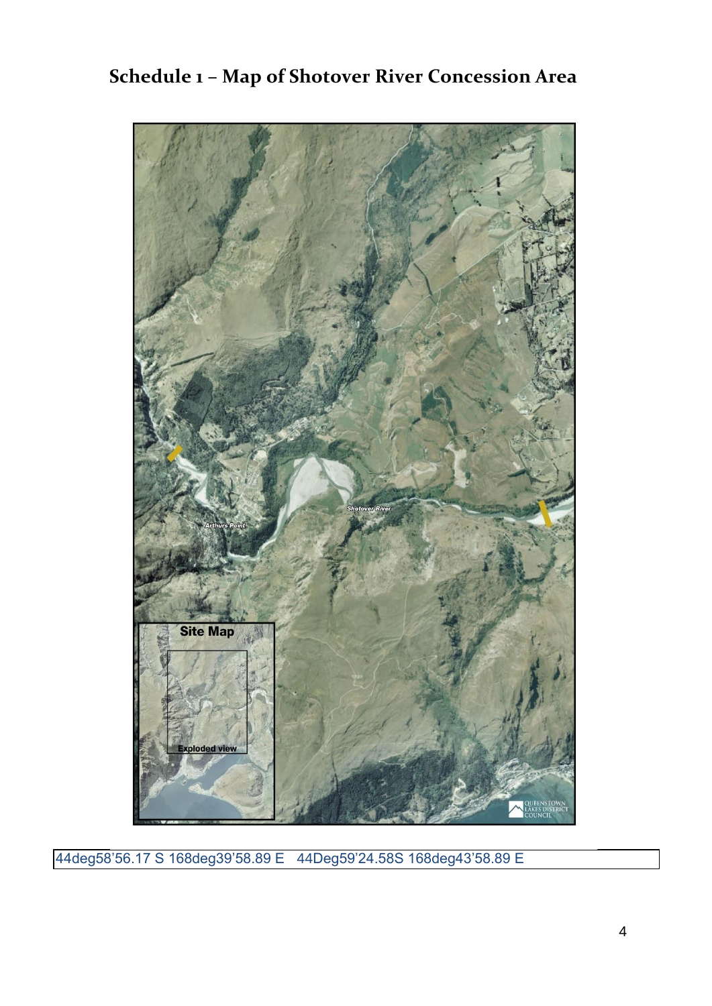

**Schedule 1 – Map of Shotover River Concession Area** 

44deg58'56.17 S 168deg39'58.89 E 44Deg59'24.58S 168deg43'58.89 E